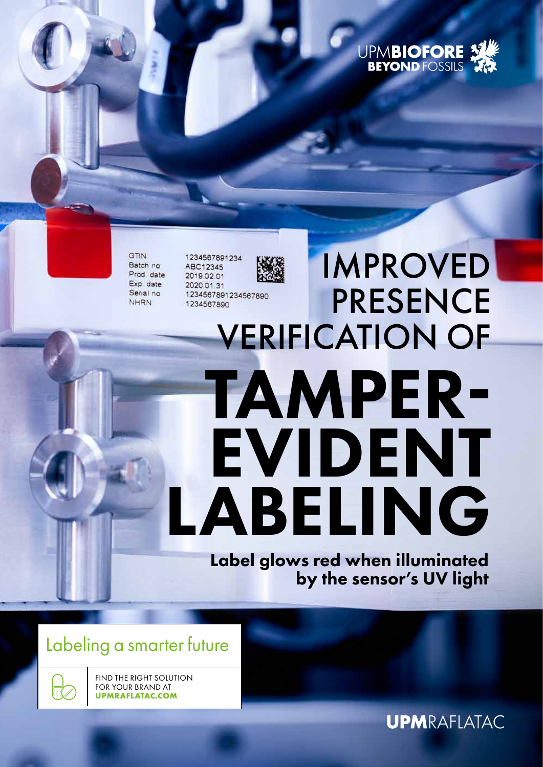

IMPROVED

GTIN Batch no Prod. date Exp date Serial no NHRN

1234567891234 ABC12345 2019.02.01 2020 01:31 1234567890

## **PRESENCE** 1234567891234567890 VERIFICATION OF TAMPER-EVIDENT LABELING

Label glows red when illuminated by the sensor's UV light

### Labeling a smarter future

FIND THE RIGHT SOLUTION FOR YOUR BRAND AT **UPMRAFLATAC.COM**

**UPMRAFLATAC**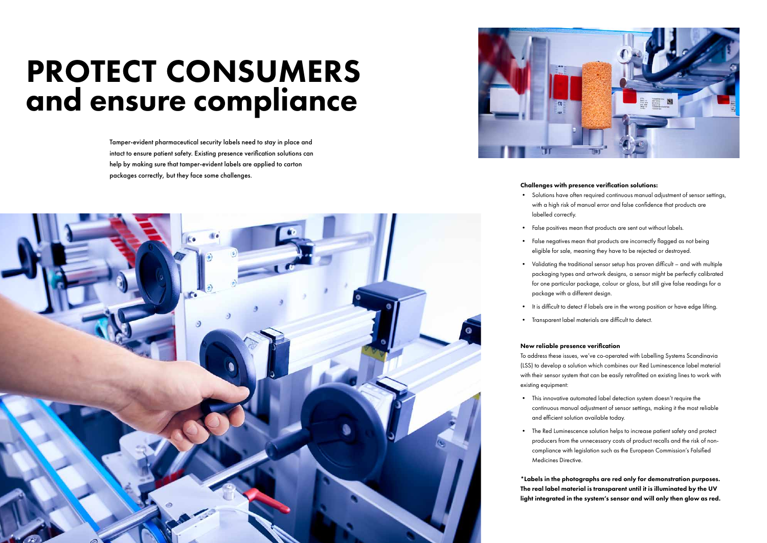## PROTECT CONSUMERS and ensure compliance

Tamper-evident pharmaceutical security labels need to stay in place and intact to ensure patient safety. Existing presence verification solutions can help by making sure that tamper-evident labels are applied to carton packages correctly, but they face some challenges.





#### Challenges with presence verification solutions:

• Solutions have often required continuous manual adjustment of sensor settings, with a high risk of manual error and false confidence that products are

• False positives mean that products are sent out without labels.

- labelled correctly.
- 
- 
- package with a different design.
- 
- 
- False negatives mean that products are incorrectly flagged as not being eligible for sale, meaning they have to be rejected or destroyed.
- Validating the traditional sensor setup has proven difficult and with multiple packaging types and artwork designs, a sensor might be perfectly calibrated for one particular package, colour or gloss, but still give false readings for a
- It is difficult to detect if labels are in the wrong position or have edge lifting.
- Transparent label materials are difficult to detect.

#### New reliable presence verification

To address these issues, we've co-operated with Labelling Systems Scandinavia (LSS) to develop a solution which combines our Red Luminescence label material with their sensor system that can be easily retrofitted on existing lines to work with

existing equipment:

• This innovative automated label detection system doesn't require the continuous manual adjustment of sensor settings, making it the most reliable

- and efficient solution available today.
- Medicines Directive.

• The Red Luminescence solution helps to increase patient safety and protect producers from the unnecessary costs of product recalls and the risk of noncompliance with legislation such as the European Commission's Falsified

\*Labels in the photographs are red only for demonstration purposes. The real label material is transparent until it is illuminated by the UV light integrated in the system's sensor and will only then glow as red.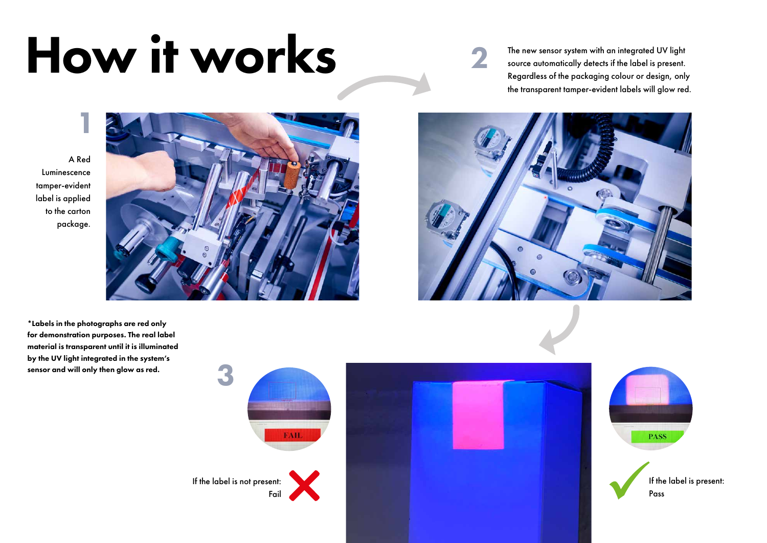A Red Luminescence tamper-evident label is applied to the carton package.

The new sensor system with an integrated UV light source automatically detects if the label is present. Regardless of the packaging colour or design, only the transparent tamper-evident labels will glow red.



\*Labels in the photographs are red only for demonstration purposes. The real label material is transparent until it is illuminated by the UV light integrated in the system's sensor and will only then glow as red.



# How it works

1





2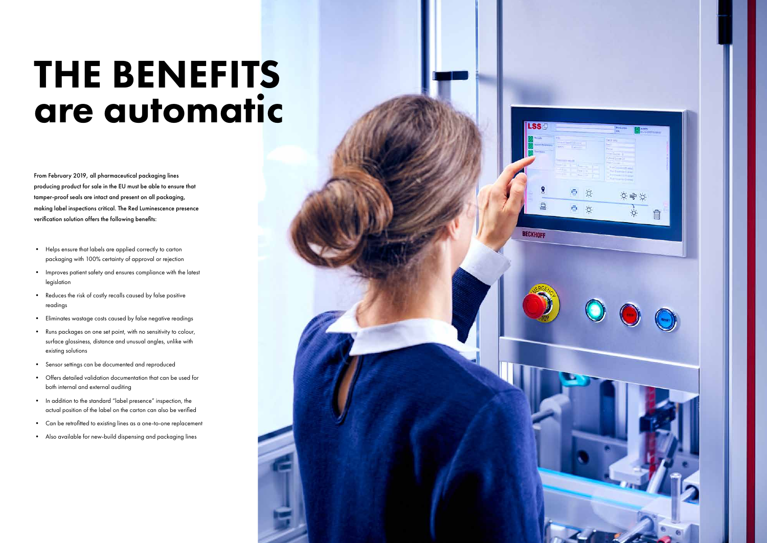## THE BENEFITS are automatic

From February 2019, all pharmaceutical packaging lines producing product for sale in the EU must be able to ensure that tamper-proof seals are intact and present on all packaging, making label inspections critical. The Red Luminescence presence verification solution offers the following benefits:

- Helps ensure that labels are applied correctly to carton packaging with 100% certainty of approval or rejection
- Improves patient safety and ensures compliance with the latest legislation
- Reduces the risk of costly recalls caused by false positive readings
- Eliminates wastage costs caused by false negative readings
- Runs packages on one set point, with no sensitivity to colour, surface glossiness, distance and unusual angles, unlike with existing solutions
- Sensor settings can be documented and reproduced
- Offers detailed validation documentation that can be used for both internal and external auditing
- In addition to the standard "label presence" inspection, the actual position of the label on the carton can also be verified
- Can be retrofitted to existing lines as a one-to-one replacement
- Also available for new-build dispensing and packaging lines



**LSS** 

**BECKHOFF**